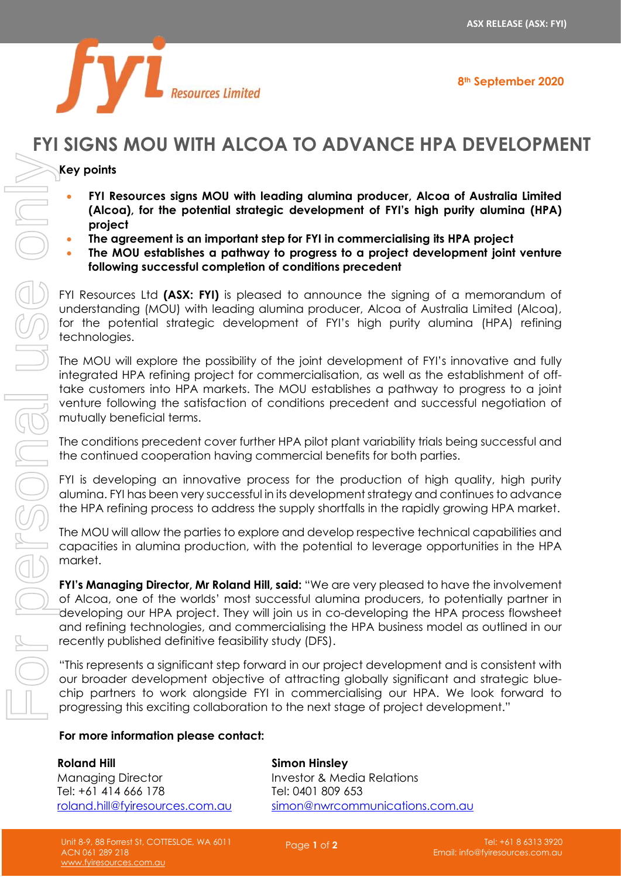**8th September 2020**

# **Superinted Resources Limited**

## **FYI SIGNS MOU WITH ALCOA TO ADVANCE HPA DEVELOPMENT**

### **Key points**

- **FYI Resources signs MOU with leading alumina producer, Alcoa of Australia Limited (Alcoa), for the potential strategic development of FYI's high purity alumina (HPA) project**
- **The agreement is an important step for FYI in commercialising its HPA project**
- **The MOU establishes a pathway to progress to a project development joint venture following successful completion of conditions precedent**

FYI Resources Ltd **(ASX: FYI)** is pleased to announce the signing of a memorandum of understanding (MOU) with leading alumina producer, Alcoa of Australia Limited (Alcoa), for the potential strategic development of FYI's high purity alumina (HPA) refining technologies.

The MOU will explore the possibility of the joint development of FYI's innovative and fully integrated HPA refining project for commercialisation, as well as the establishment of offtake customers into HPA markets. The MOU establishes a pathway to progress to a joint venture following the satisfaction of conditions precedent and successful negotiation of mutually beneficial terms.

The conditions precedent cover further HPA pilot plant variability trials being successful and the continued cooperation having commercial benefits for both parties.

FYI is developing an innovative process for the production of high quality, high purity alumina. FYI has been very successful in its development strategy and continues to advance the HPA refining process to address the supply shortfalls in the rapidly growing HPA market.

The MOU will allow the parties to explore and develop respective technical capabilities and capacities in alumina production, with the potential to leverage opportunities in the HPA market.

**FYI's Managing Director, Mr Roland Hill, said:** "We are very pleased to have the involvement of Alcoa, one of the worlds' most successful alumina producers, to potentially partner in developing our HPA project. They will join us in co-developing the HPA process flowsheet and refining technologies, and commercialising the HPA business model as outlined in our recently published definitive feasibility study (DFS).

"This represents a significant step forward in our project development and is consistent with our broader development objective of attracting globally significant and strategic bluechip partners to work alongside FYI in commercialising our HPA. We look forward to progressing this exciting collaboration to the next stage of project development."

#### **For more information please contact:**

**Roland Hill** Managing Director Tel: +61 414 666 178 [roland.hill@fyiresources.com.au](mailto:roland.hill@fyiresources.com.au) **Simon Hinsley** Investor & Media Relations Tel: 0401 809 653 [simon@nwrcommunications.com.au](mailto:simon@nwrcommunications.com.au)

Page **1** of **2**